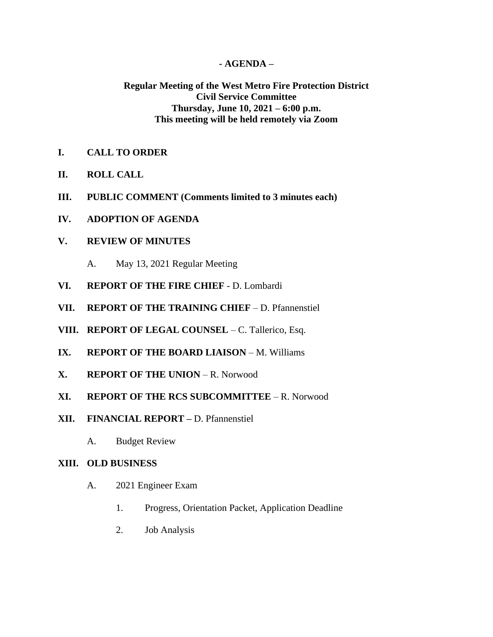## **- AGENDA –**

# **Regular Meeting of the West Metro Fire Protection District Civil Service Committee Thursday, June 10, 2021 – 6:00 p.m. This meeting will be held remotely via Zoom**

- **I. CALL TO ORDER**
- **II. ROLL CALL**
- **III. PUBLIC COMMENT (Comments limited to 3 minutes each)**
- **IV. ADOPTION OF AGENDA**

## **V. REVIEW OF MINUTES**

- A. May 13, 2021 Regular Meeting
- **VI. REPORT OF THE FIRE CHIEF**  D. Lombardi
- **VII. REPORT OF THE TRAINING CHIEF** D. Pfannenstiel
- **VIII. REPORT OF LEGAL COUNSEL** C. Tallerico, Esq.
- **IX. REPORT OF THE BOARD LIAISON** M. Williams
- **X. REPORT OF THE UNION** R. Norwood
- **XI. REPORT OF THE RCS SUBCOMMITTEE** R. Norwood
- **XII. FINANCIAL REPORT –** D. Pfannenstiel
	- A. Budget Review

#### **XIII. OLD BUSINESS**

- A. 2021 Engineer Exam
	- 1. Progress, Orientation Packet, Application Deadline
	- 2. Job Analysis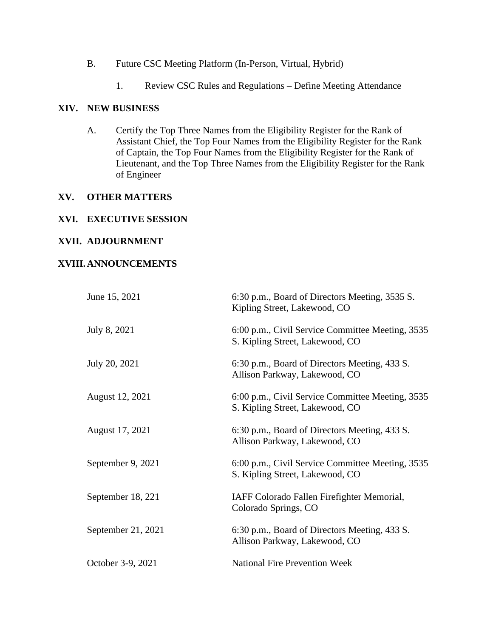- B. Future CSC Meeting Platform (In-Person, Virtual, Hybrid)
	- 1. Review CSC Rules and Regulations Define Meeting Attendance

#### **XIV. NEW BUSINESS**

A. Certify the Top Three Names from the Eligibility Register for the Rank of Assistant Chief, the Top Four Names from the Eligibility Register for the Rank of Captain, the Top Four Names from the Eligibility Register for the Rank of Lieutenant, and the Top Three Names from the Eligibility Register for the Rank of Engineer

#### **XV. OTHER MATTERS**

#### **XVI. EXECUTIVE SESSION**

## **XVII. ADJOURNMENT**

### **XVIII.ANNOUNCEMENTS**

| June 15, 2021      | 6:30 p.m., Board of Directors Meeting, 3535 S.<br>Kipling Street, Lakewood, CO      |
|--------------------|-------------------------------------------------------------------------------------|
| July 8, 2021       | 6:00 p.m., Civil Service Committee Meeting, 3535<br>S. Kipling Street, Lakewood, CO |
| July 20, 2021      | 6:30 p.m., Board of Directors Meeting, 433 S.<br>Allison Parkway, Lakewood, CO      |
| August 12, 2021    | 6:00 p.m., Civil Service Committee Meeting, 3535<br>S. Kipling Street, Lakewood, CO |
| August 17, 2021    | 6:30 p.m., Board of Directors Meeting, 433 S.<br>Allison Parkway, Lakewood, CO      |
| September 9, 2021  | 6:00 p.m., Civil Service Committee Meeting, 3535<br>S. Kipling Street, Lakewood, CO |
| September 18, 221  | IAFF Colorado Fallen Firefighter Memorial,<br>Colorado Springs, CO                  |
| September 21, 2021 | 6:30 p.m., Board of Directors Meeting, 433 S.<br>Allison Parkway, Lakewood, CO      |
| October 3-9, 2021  | <b>National Fire Prevention Week</b>                                                |